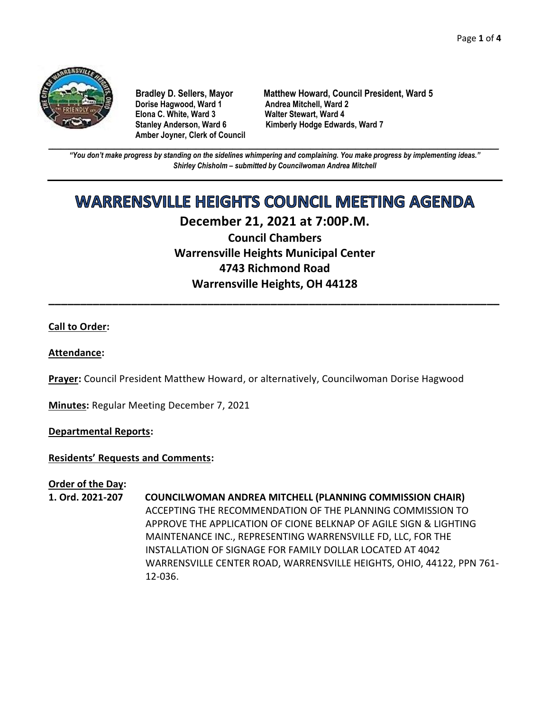

**Dorise Hagwood, Ward 1 Elona C. White, Ward 3 Walter Stewart, Ward 4 Amber Joyner, Clerk of Council**

**Bradley D. Sellers, Mayor Matthew Howard, Council President, Ward 5** Stanley Anderson, Ward 6 Kimberly Hodge Edwards, Ward 7

**\_\_\_\_\_\_\_\_\_\_\_\_\_\_\_\_\_\_\_\_\_\_\_\_\_\_\_\_\_\_\_\_\_\_\_\_\_\_\_\_\_\_\_\_\_\_\_\_\_\_\_\_\_\_\_\_\_\_\_\_\_\_\_\_\_\_\_\_\_\_\_\_\_\_\_\_\_\_\_\_\_\_\_\_\_\_\_\_\_\_\_\_\_\_\_\_\_\_\_\_\_\_\_\_\_\_\_\_\_\_** *"You don't make progress by standing on the sidelines whimpering and complaining. You make progress by implementing ideas." Shirley Chisholm – submitted by Councilwoman Andrea Mitchell*

# **WARRENSVILLE HEIGHTS COUNCIL MEETING AGENDA**

# **December 21, 2021 at 7:00P.M.**

**Council Chambers Warrensville Heights Municipal Center 4743 Richmond Road Warrensville Heights, OH 44128**

**\_\_\_\_\_\_\_\_\_\_\_\_\_\_\_\_\_\_\_\_\_\_\_\_\_\_\_\_\_\_\_\_\_\_\_\_\_\_\_\_\_\_\_\_\_\_\_\_\_\_\_\_\_\_\_\_\_\_\_\_\_\_\_\_\_\_\_\_\_\_\_**

# **Call to Order:**

# **Attendance:**

**Prayer:** Council President Matthew Howard, or alternatively, Councilwoman Dorise Hagwood

**Minutes:** Regular Meeting December 7, 2021

# **Departmental Reports:**

# **Residents' Requests and Comments:**

# **Order of the Day:**

**1. Ord. 2021-207 COUNCILWOMAN ANDREA MITCHELL (PLANNING COMMISSION CHAIR)** ACCEPTING THE RECOMMENDATION OF THE PLANNING COMMISSION TO APPROVE THE APPLICATION OF CIONE BELKNAP OF AGILE SIGN & LIGHTING MAINTENANCE INC., REPRESENTING WARRENSVILLE FD, LLC, FOR THE INSTALLATION OF SIGNAGE FOR FAMILY DOLLAR LOCATED AT 4042 WARRENSVILLE CENTER ROAD, WARRENSVILLE HEIGHTS, OHIO, 44122, PPN 761- 12-036.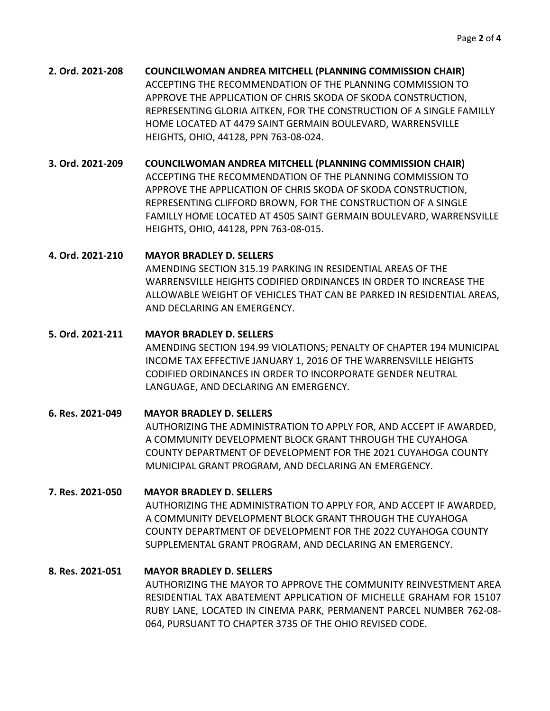**2. Ord. 2021-208 COUNCILWOMAN ANDREA MITCHELL (PLANNING COMMISSION CHAIR)** ACCEPTING THE RECOMMENDATION OF THE PLANNING COMMISSION TO APPROVE THE APPLICATION OF CHRIS SKODA OF SKODA CONSTRUCTION, REPRESENTING GLORIA AITKEN, FOR THE CONSTRUCTION OF A SINGLE FAMILLY HOME LOCATED AT 4479 SAINT GERMAIN BOULEVARD, WARRENSVILLE HEIGHTS, OHIO, 44128, PPN 763-08-024.

**3. Ord. 2021-209 COUNCILWOMAN ANDREA MITCHELL (PLANNING COMMISSION CHAIR)** ACCEPTING THE RECOMMENDATION OF THE PLANNING COMMISSION TO APPROVE THE APPLICATION OF CHRIS SKODA OF SKODA CONSTRUCTION, REPRESENTING CLIFFORD BROWN, FOR THE CONSTRUCTION OF A SINGLE FAMILLY HOME LOCATED AT 4505 SAINT GERMAIN BOULEVARD, WARRENSVILLE HEIGHTS, OHIO, 44128, PPN 763-08-015.

# **4. Ord. 2021-210 MAYOR BRADLEY D. SELLERS**

AMENDING SECTION 315.19 PARKING IN RESIDENTIAL AREAS OF THE WARRENSVILLE HEIGHTS CODIFIED ORDINANCES IN ORDER TO INCREASE THE ALLOWABLE WEIGHT OF VEHICLES THAT CAN BE PARKED IN RESIDENTIAL AREAS, AND DECLARING AN EMERGENCY.

# **5. Ord. 2021-211 MAYOR BRADLEY D. SELLERS**

AMENDING SECTION 194.99 VIOLATIONS; PENALTY OF CHAPTER 194 MUNICIPAL INCOME TAX EFFECTIVE JANUARY 1, 2016 OF THE WARRENSVILLE HEIGHTS CODIFIED ORDINANCES IN ORDER TO INCORPORATE GENDER NEUTRAL LANGUAGE, AND DECLARING AN EMERGENCY.

# **6. Res. 2021-049 MAYOR BRADLEY D. SELLERS** AUTHORIZING THE ADMINISTRATION TO APPLY FOR, AND ACCEPT IF AWARDED, A COMMUNITY DEVELOPMENT BLOCK GRANT THROUGH THE CUYAHOGA COUNTY DEPARTMENT OF DEVELOPMENT FOR THE 2021 CUYAHOGA COUNTY MUNICIPAL GRANT PROGRAM, AND DECLARING AN EMERGENCY.

# **7. Res. 2021-050 MAYOR BRADLEY D. SELLERS**

AUTHORIZING THE ADMINISTRATION TO APPLY FOR, AND ACCEPT IF AWARDED, A COMMUNITY DEVELOPMENT BLOCK GRANT THROUGH THE CUYAHOGA COUNTY DEPARTMENT OF DEVELOPMENT FOR THE 2022 CUYAHOGA COUNTY SUPPLEMENTAL GRANT PROGRAM, AND DECLARING AN EMERGENCY.

# **8. Res. 2021-051 MAYOR BRADLEY D. SELLERS**

AUTHORIZING THE MAYOR TO APPROVE THE COMMUNITY REINVESTMENT AREA RESIDENTIAL TAX ABATEMENT APPLICATION OF MICHELLE GRAHAM FOR 15107 RUBY LANE, LOCATED IN CINEMA PARK, PERMANENT PARCEL NUMBER 762-08- 064, PURSUANT TO CHAPTER 3735 OF THE OHIO REVISED CODE.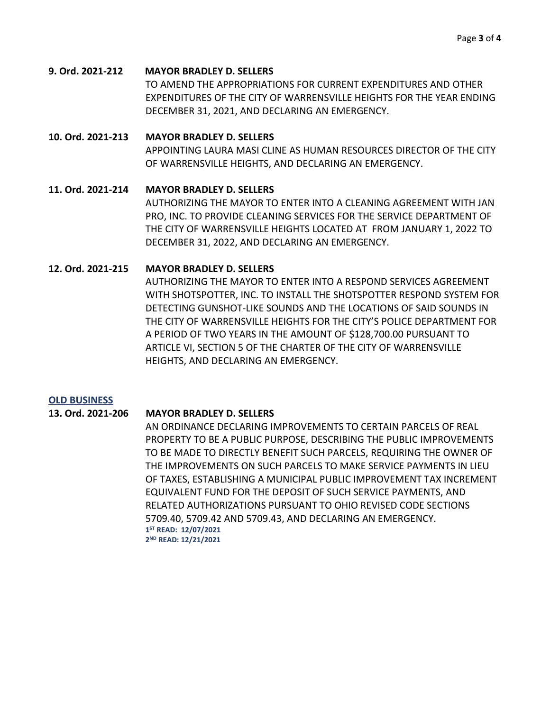#### **9. Ord. 2021-212 MAYOR BRADLEY D. SELLERS**

TO AMEND THE APPROPRIATIONS FOR CURRENT EXPENDITURES AND OTHER EXPENDITURES OF THE CITY OF WARRENSVILLE HEIGHTS FOR THE YEAR ENDING DECEMBER 31, 2021, AND DECLARING AN EMERGENCY.

#### **10. Ord. 2021-213 MAYOR BRADLEY D. SELLERS**

APPOINTING LAURA MASI CLINE AS HUMAN RESOURCES DIRECTOR OF THE CITY OF WARRENSVILLE HEIGHTS, AND DECLARING AN EMERGENCY.

#### **11. Ord. 2021-214 MAYOR BRADLEY D. SELLERS**

AUTHORIZING THE MAYOR TO ENTER INTO A CLEANING AGREEMENT WITH JAN PRO, INC. TO PROVIDE CLEANING SERVICES FOR THE SERVICE DEPARTMENT OF THE CITY OF WARRENSVILLE HEIGHTS LOCATED AT FROM JANUARY 1, 2022 TO DECEMBER 31, 2022, AND DECLARING AN EMERGENCY.

#### **12. Ord. 2021-215 MAYOR BRADLEY D. SELLERS**

AUTHORIZING THE MAYOR TO ENTER INTO A RESPOND SERVICES AGREEMENT WITH SHOTSPOTTER, INC. TO INSTALL THE SHOTSPOTTER RESPOND SYSTEM FOR DETECTING GUNSHOT-LIKE SOUNDS AND THE LOCATIONS OF SAID SOUNDS IN THE CITY OF WARRENSVILLE HEIGHTS FOR THE CITY'S POLICE DEPARTMENT FOR A PERIOD OF TWO YEARS IN THE AMOUNT OF \$128,700.00 PURSUANT TO ARTICLE VI, SECTION 5 OF THE CHARTER OF THE CITY OF WARRENSVILLE HEIGHTS, AND DECLARING AN EMERGENCY.

#### **OLD BUSINESS**

#### **13. Ord. 2021-206 MAYOR BRADLEY D. SELLERS**

AN ORDINANCE DECLARING IMPROVEMENTS TO CERTAIN PARCELS OF REAL PROPERTY TO BE A PUBLIC PURPOSE, DESCRIBING THE PUBLIC IMPROVEMENTS TO BE MADE TO DIRECTLY BENEFIT SUCH PARCELS, REQUIRING THE OWNER OF THE IMPROVEMENTS ON SUCH PARCELS TO MAKE SERVICE PAYMENTS IN LIEU OF TAXES, ESTABLISHING A MUNICIPAL PUBLIC IMPROVEMENT TAX INCREMENT EQUIVALENT FUND FOR THE DEPOSIT OF SUCH SERVICE PAYMENTS, AND RELATED AUTHORIZATIONS PURSUANT TO OHIO REVISED CODE SECTIONS 5709.40, 5709.42 AND 5709.43, AND DECLARING AN EMERGENCY. **1 ST READ: 12/07/2021 2 ND READ: 12/21/2021**